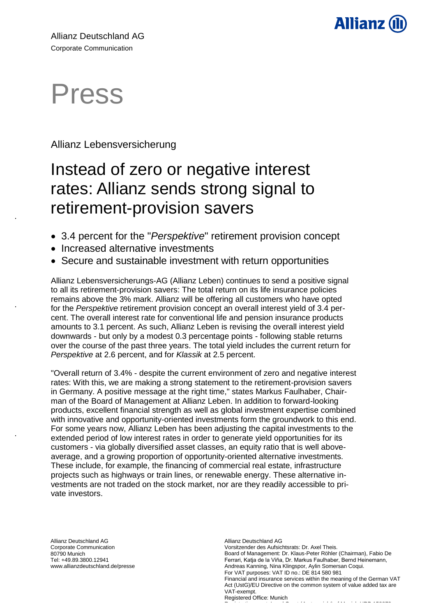

# Press

.

.

.

## Allianz Lebensversicherung

# Instead of zero or negative interest rates: Allianz sends strong signal to retirement-provision savers

- 3.4 percent for the "*Perspektive*" retirement provision concept
- Increased alternative investments
- Secure and sustainable investment with return opportunities

Allianz Lebensversicherungs-AG (Allianz Leben) continues to send a positive signal to all its retirement-provision savers: The total return on its life insurance policies remains above the 3% mark. Allianz will be offering all customers who have opted for the *Perspektive* retirement provision concept an overall interest yield of 3.4 percent. The overall interest rate for conventional life and pension insurance products amounts to 3.1 percent. As such, Allianz Leben is revising the overall interest yield downwards - but only by a modest 0.3 percentage points - following stable returns over the course of the past three years. The total yield includes the current return for *Perspektive* at 2.6 percent, and for *Klassik* at 2.5 percent.

"Overall return of 3.4% - despite the current environment of zero and negative interest rates: With this, we are making a strong statement to the retirement-provision savers in Germany. A positive message at the right time," states Markus Faulhaber, Chairman of the Board of Management at Allianz Leben. In addition to forward-looking products, excellent financial strength as well as global investment expertise combined with innovative and opportunity-oriented investments form the groundwork to this end. For some years now, Allianz Leben has been adjusting the capital investments to the extended period of low interest rates in order to generate yield opportunities for its customers - via globally diversified asset classes, an equity ratio that is well aboveaverage, and a growing proportion of opportunity-oriented alternative investments. These include, for example, the financing of commercial real estate, infrastructure projects such as highways or train lines, or renewable energy. These alternative investments are not traded on the stock market, nor are they readily accessible to private investors.

Allianz Deutschland AG Corporate Communication 80790 Munich Tel: +49.89.3800.12941 www.allianzdeutschland.de/presse